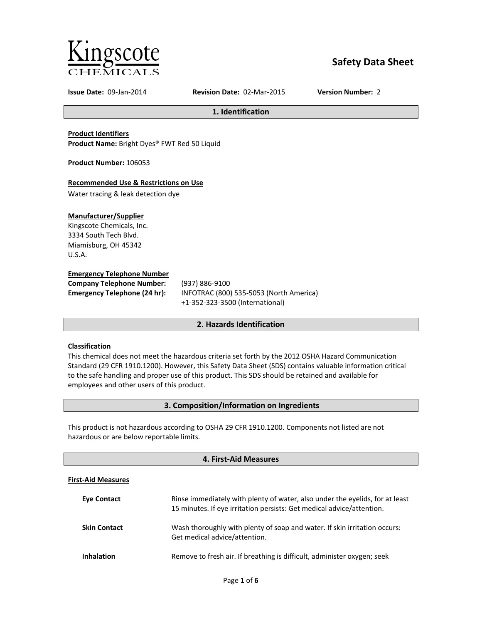

# **Safety Data Sheet**

**Issue Date:** 09-Jan-2014 **Revision Date:** 02-Mar-2015 **Version Number:** 2

# **1. Identification**

**Product Identifiers Product Name:** Bright Dyes® FWT Red 50 Liquid

**Product Number:** 106053

## **Recommended Use & Restrictions on Use**

Water tracing & leak detection dye

## **Manufacturer/Supplier**

Kingscote Chemicals, Inc. 3334 South Tech Blvd. Miamisburg, OH 45342 U.S.A.

## **Emergency Telephone Number**

**Company Telephone Number:** (937) 886-9100

**Emergency Telephone (24 hr):** INFOTRAC (800) 535-5053 (North America) +1-352-323-3500 (International)

# **2. Hazards Identification**

# **Classification**

This chemical does not meet the hazardous criteria set forth by the 2012 OSHA Hazard Communication Standard (29 CFR 1910.1200). However, this Safety Data Sheet (SDS) contains valuable information critical to the safe handling and proper use of this product. This SDS should be retained and available for employees and other users of this product.

# **3. Composition/Information on Ingredients**

This product is not hazardous according to OSHA 29 CFR 1910.1200. Components not listed are not hazardous or are below reportable limits.

# **4. First-Aid Measures**

## **First-Aid Measures**

| <b>Eve Contact</b>  | Rinse immediately with plenty of water, also under the eyelids, for at least<br>15 minutes. If eye irritation persists: Get medical advice/attention. |
|---------------------|-------------------------------------------------------------------------------------------------------------------------------------------------------|
| <b>Skin Contact</b> | Wash thoroughly with plenty of soap and water. If skin irritation occurs:<br>Get medical advice/attention.                                            |
| <b>Inhalation</b>   | Remove to fresh air. If breathing is difficult, administer oxygen; seek                                                                               |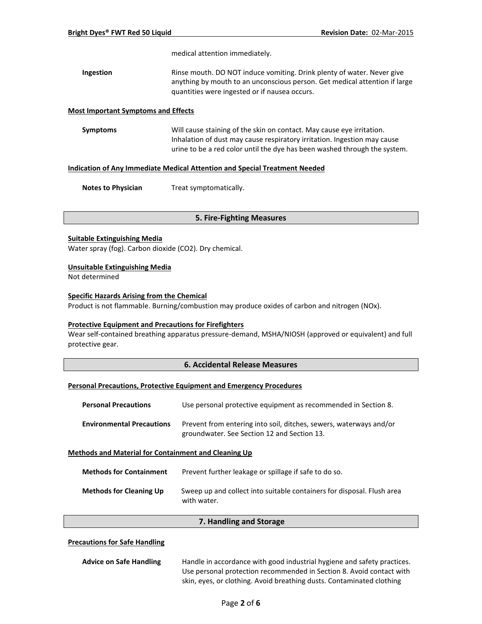medical attention immediately.

**Ingestion Rinse mouth. DO NOT induce vomiting. Drink plenty of water. Never give** anything by mouth to an unconscious person. Get medical attention if large quantities were ingested or if nausea occurs.

#### **Most Important Symptoms and Effects**

**Symptoms** Will cause staining of the skin on contact. May cause eye irritation. Inhalation of dust may cause respiratory irritation. Ingestion may cause urine to be a red color until the dye has been washed through the system.

## **Indication of Any Immediate Medical Attention and Special Treatment Needed**

**Notes to Physician** Treat symptomatically.

#### **5. Fire-Fighting Measures**

#### **Suitable Extinguishing Media**

Water spray (fog). Carbon dioxide (CO2). Dry chemical.

#### **Unsuitable Extinguishing Media**

Not determined

#### **Specific Hazards Arising from the Chemical**

Product is not flammable. Burning/combustion may produce oxides of carbon and nitrogen (NOx).

# **Protective Equipment and Precautions for Firefighters**

Wear self-contained breathing apparatus pressure-demand, MSHA/NIOSH (approved or equivalent) and full protective gear.

## **6. Accidental Release Measures**

# **Personal Precautions, Protective Equipment and Emergency Procedures**

| <b>Personal Precautions</b>      | Use personal protective equipment as recommended in Section 8.                                                    |
|----------------------------------|-------------------------------------------------------------------------------------------------------------------|
| <b>Environmental Precautions</b> | Prevent from entering into soil, ditches, sewers, waterways and/or<br>groundwater. See Section 12 and Section 13. |

#### **Methods and Material for Containment and Cleaning Up**

| <b>Methods for Containment</b> | Prevent further leakage or spillage if safe to do so.                                 |
|--------------------------------|---------------------------------------------------------------------------------------|
| <b>Methods for Cleaning Up</b> | Sweep up and collect into suitable containers for disposal. Flush area<br>with water. |

#### **7. Handling and Storage**

## **Precautions for Safe Handling**

| <b>Advice on Safe Handling</b> | Handle in accordance with good industrial hygiene and safety practices. |  |  |  |
|--------------------------------|-------------------------------------------------------------------------|--|--|--|
|                                | Use personal protection recommended in Section 8. Avoid contact with    |  |  |  |
|                                | skin, eyes, or clothing. Avoid breathing dusts. Contaminated clothing   |  |  |  |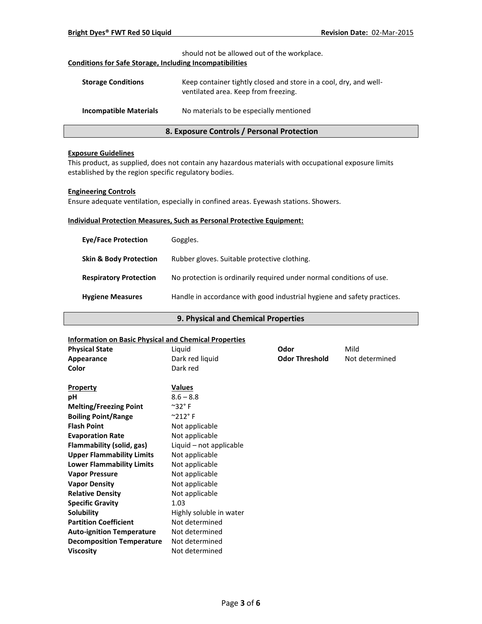| 8. Exposure Controls / Personal Protection                                                                     |                                                                                                           |  |  |
|----------------------------------------------------------------------------------------------------------------|-----------------------------------------------------------------------------------------------------------|--|--|
| <b>Incompatible Materials</b>                                                                                  | No materials to be especially mentioned                                                                   |  |  |
| <b>Storage Conditions</b>                                                                                      | Keep container tightly closed and store in a cool, dry, and well-<br>ventilated area. Keep from freezing. |  |  |
| should not be allowed out of the workplace.<br><b>Conditions for Safe Storage, Including Incompatibilities</b> |                                                                                                           |  |  |

## **Exposure Guidelines**

This product, as supplied, does not contain any hazardous materials with occupational exposure limits established by the region specific regulatory bodies.

## **Engineering Controls**

Ensure adequate ventilation, especially in confined areas. Eyewash stations. Showers.

## **Individual Protection Measures, Such as Personal Protective Equipment:**

| <b>Eve/Face Protection</b>        | Goggles.                                                                |
|-----------------------------------|-------------------------------------------------------------------------|
| <b>Skin &amp; Body Protection</b> | Rubber gloves. Suitable protective clothing.                            |
| <b>Respiratory Protection</b>     | No protection is ordinarily required under normal conditions of use.    |
| <b>Hygiene Measures</b>           | Handle in accordance with good industrial hygiene and safety practices. |

## **9. Physical and Chemical Properties**

## **Information on Basic Physical and Chemical Properties**

| information on basic Physical and Chemical Properties |                             |                       |                |
|-------------------------------------------------------|-----------------------------|-----------------------|----------------|
| <b>Physical State</b>                                 | Liquid                      | Odor                  | Mild           |
| Appearance                                            | Dark red liquid             | <b>Odor Threshold</b> | Not determined |
| Color                                                 | Dark red                    |                       |                |
|                                                       |                             |                       |                |
| <b>Property</b>                                       | <b>Values</b>               |                       |                |
| рH                                                    | $8.6 - 8.8$                 |                       |                |
| <b>Melting/Freezing Point</b>                         | $^{\sim}$ 32°F              |                       |                |
| <b>Boiling Point/Range</b>                            | $^{\circ}$ 212 $^{\circ}$ F |                       |                |
| <b>Flash Point</b>                                    | Not applicable              |                       |                |
| <b>Evaporation Rate</b>                               | Not applicable              |                       |                |
| Flammability (solid, gas)                             | Liquid $-$ not applicable   |                       |                |
| <b>Upper Flammability Limits</b>                      | Not applicable              |                       |                |
| <b>Lower Flammability Limits</b>                      | Not applicable              |                       |                |
| <b>Vapor Pressure</b>                                 | Not applicable              |                       |                |
| <b>Vapor Density</b>                                  | Not applicable              |                       |                |
| <b>Relative Density</b>                               | Not applicable              |                       |                |
| <b>Specific Gravity</b>                               | 1.03                        |                       |                |
| <b>Solubility</b>                                     | Highly soluble in water     |                       |                |
| <b>Partition Coefficient</b>                          | Not determined              |                       |                |
| <b>Auto-ignition Temperature</b>                      | Not determined              |                       |                |
| <b>Decomposition Temperature</b>                      | Not determined              |                       |                |
| <b>Viscosity</b>                                      | Not determined              |                       |                |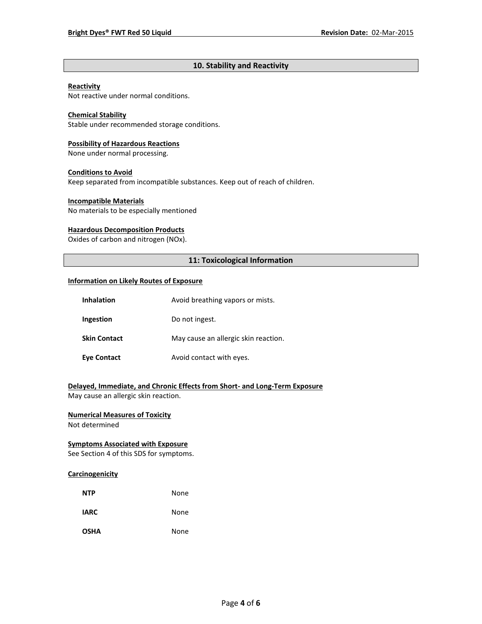# **10. Stability and Reactivity**

## **Reactivity**

Not reactive under normal conditions.

## **Chemical Stability**

Stable under recommended storage conditions.

# **Possibility of Hazardous Reactions**

None under normal processing.

## **Conditions to Avoid**

Keep separated from incompatible substances. Keep out of reach of children.

## **Incompatible Materials**

No materials to be especially mentioned

# **Hazardous Decomposition Products**

Oxides of carbon and nitrogen (NOx).

## **11: Toxicological Information**

## **Information on Likely Routes of Exposure**

| <b>Inhalation</b>   | Avoid breathing vapors or mists.     |  |
|---------------------|--------------------------------------|--|
| Ingestion           | Do not ingest.                       |  |
| <b>Skin Contact</b> | May cause an allergic skin reaction. |  |
| <b>Eye Contact</b>  | Avoid contact with eyes.             |  |

**Delayed, Immediate, and Chronic Effects from Short- and Long-Term Exposure** May cause an allergic skin reaction.

## **Numerical Measures of Toxicity**

Not determined

## **Symptoms Associated with Exposure**

See Section 4 of this SDS for symptoms.

#### **Carcinogenicity**

| <b>NTP</b>  | None |
|-------------|------|
| <b>IARC</b> | None |
| <b>OSHA</b> | None |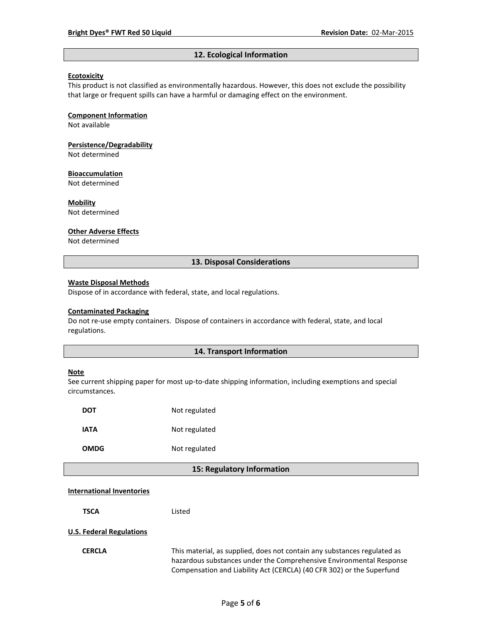#### **12. Ecological Information**

#### **Ecotoxicity**

This product is not classified as environmentally hazardous. However, this does not exclude the possibility that large or frequent spills can have a harmful or damaging effect on the environment.

#### **Component Information**

Not available

# **Persistence/Degradability**

Not determined

#### **Bioaccumulation**

Not determined

#### **Mobility**

Not determined

#### **Other Adverse Effects**

Not determined

## **13. Disposal Considerations**

#### **Waste Disposal Methods**

Dispose of in accordance with federal, state, and local regulations.

#### **Contaminated Packaging**

Do not re-use empty containers.Dispose of containers in accordance with federal, state, and local regulations.

## **14. Transport Information**

#### **Note**

See current shipping paper for most up-to-date shipping information, including exemptions and special circumstances.

| DOT         | Not regulated |
|-------------|---------------|
| IATA        | Not regulated |
| <b>OMDG</b> | Not regulated |

#### **15: Regulatory Information**

#### **International Inventories**

**TSCA** Listed

#### **U.S. Federal Regulations**

**CERCLA** This material, as supplied, does not contain any substances regulated as hazardous substances under the Comprehensive Environmental Response Compensation and Liability Act (CERCLA) (40 CFR 302) or the Superfund